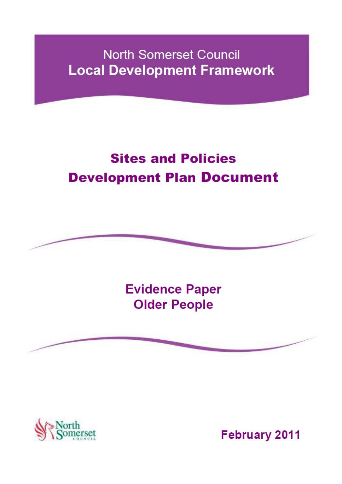# **North Somerset Council Local Development Framework**

# **Sites and Policies Development Plan Document**



**Evidence Paper Older People** 





**February 2011**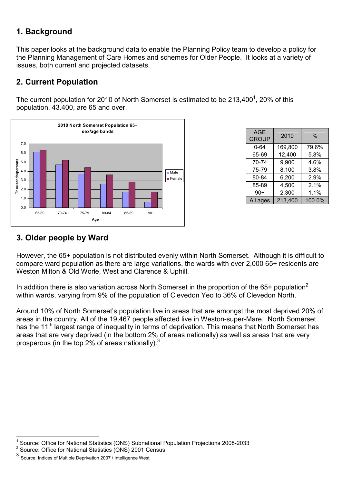# **1. Background**

This paper looks at the background data to enable the Planning Policy team to develop a policy for the Planning Management of Care Homes and schemes for Older People. It looks at a variety of issues, both current and projected datasets.

## **2. Current Population**

The current population for 2010 of North Somerset is estimated to be 213,400<sup>1</sup>, 20% of this population, 43.400, are 65 and over.



| <b>AGE</b><br><b>GROUP</b> | 2010    | $\%$   |
|----------------------------|---------|--------|
| $0 - 64$                   | 169,800 | 79.6%  |
| 65-69                      | 12,400  | 5.8%   |
| 70-74                      | 9,900   | 4.6%   |
| 75-79                      | 8,100   | 3.8%   |
| 80-84                      | 6,200   | 2.9%   |
| 85-89                      | 4,500   | 2.1%   |
| $90+$                      | 2,300   | 1.1%   |
| All ages                   | 213,400 | 100.0% |

## **3. Older people by Ward**

However, the 65+ population is not distributed evenly within North Somerset. Although it is difficult to compare ward population as there are large variations, the wards with over 2,000 65+ residents are Weston Milton & Old Worle, West and Clarence & Uphill.

In addition there is also variation across North Somerset in the proportion of the 65+ population<sup>2</sup> within wards, varying from 9% of the population of Clevedon Yeo to 36% of Clevedon North.

Around 10% of North Somerset's population live in areas that are amongst the most deprived 20% of areas in the country. All of the 19,467 people affected live in Weston-super-Mare. North Somerset has the 11<sup>th</sup> largest range of inequality in terms of deprivation. This means that North Somerset has areas that are very deprived (in the bottom 2% of areas nationally) as well as areas that are very prosperous (in the top 2% of areas nationally). $3$ 

 $\overline{a}$ 1 Source: Office for National Statistics (ONS) Subnational Population Projections 2008-2033

<sup>&</sup>lt;sup>2</sup> Source: Office for National Statistics (ONS) 2001 Census

<sup>3</sup> Source: Indices of Multiple Deprivation 2007 / Intelligence West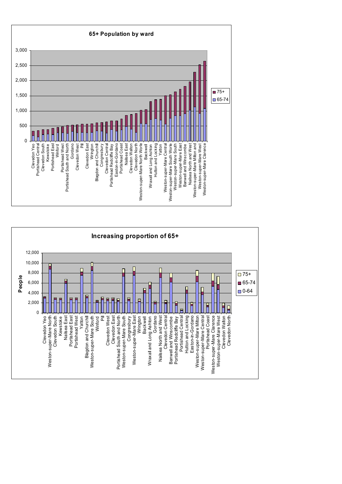

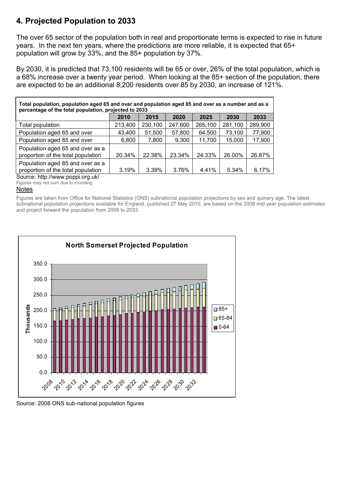# **4. Projected Population to 2033**

The over 65 sector of the population both in real and proportionate terms is expected to rise in future years. In the next ten years, where the predictions are more reliable, it is expected that 65+ population will grow by 33%, and the 85+ population by 37%.

By 2030, it is predicted that 73,100 residents will be 65 or over, 26% of the total population, which is a 68% increase over a twenty year period. When looking at the 85+ section of the population, there are expected to be an additional 8,200 residents over 85 by 2030, an increase of 121%.

| Total population, population aged 65 and over and population aged 85 and over as a number and as a<br>percentage of the total population, projected to 2033 |         |         |         |         |         |         |  |  |
|-------------------------------------------------------------------------------------------------------------------------------------------------------------|---------|---------|---------|---------|---------|---------|--|--|
|                                                                                                                                                             | 2010    | 2015    | 2020    | 2025    | 2030    | 2033    |  |  |
| Total population                                                                                                                                            | 213,400 | 230,100 | 247,600 | 265,100 | 281,100 | 289,900 |  |  |
| Population aged 65 and over                                                                                                                                 | 43,400  | 51,500  | 57,800  | 64,500  | 73,100  | 77,900  |  |  |
| Population aged 85 and over                                                                                                                                 | 6,800   | 7,800   | 9,300   | 11,700  | 15,000  | 17,900  |  |  |
| Population aged 65 and over as a<br>proportion of the total population                                                                                      | 20.34%  | 22.38%  | 23.34%  | 24.33%  | 26.00%  | 26.87%  |  |  |
| Population aged 85 and over as a<br>proportion of the total population<br>Course bttp://www.poppi.org.uk/                                                   | 3.19%   | 3.39%   | 3.76%   | 4.41%   | 5.34%   | 6.17%   |  |  |

Source: http://www.poppi.org.uk/ Figures may not sum due to rounding

#### Notes

Figures are taken from Office for National Statistics (ONS) subnational population projections by sex and quinary age. The latest subnational population projections available for England, published 27 May 2010, are based on the 2008 mid year population estimates and project forward the population from 2008 to 2033.



Source: 2008 ONS sub-national population figures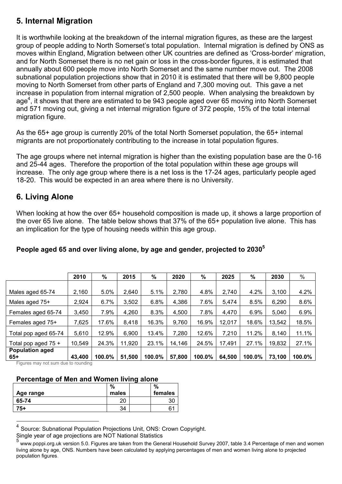# **5. Internal Migration**

It is worthwhile looking at the breakdown of the internal migration figures, as these are the largest group of people adding to North Somerset's total population. Internal migration is defined by ONS as moves within England, Migration between other UK countries are defined as 'Cross-border' migration, and for North Somerset there is no net gain or loss in the cross-border figures, it is estimated that annually about 600 people move into North Somerset and the same number move out. The 2008 subnational population projections show that in 2010 it is estimated that there will be 9,800 people moving to North Somerset from other parts of England and 7,300 moving out. This gave a net increase in population from internal migration of 2,500 people. When analysing the breakdown by age<sup>4</sup>, it shows that there are estimated to be 943 people aged over 65 moving into North Somerset and 571 moving out, giving a net internal migration figure of 372 people, 15% of the total internal migration figure.

As the 65+ age group is currently 20% of the total North Somerset population, the 65+ internal migrants are not proportionately contributing to the increase in total population figures.

The age groups where net internal migration is higher than the existing population base are the 0-16 and 25-44 ages. Therefore the proportion of the total population within these age groups will increase. The only age group where there is a net loss is the 17-24 ages, particularly people aged 18-20. This would be expected in an area where there is no University.

# **6. Living Alone**

When looking at how the over 65+ household composition is made up, it shows a large proportion of the over 65 live alone. The table below shows that 37% of the 65+ population live alone. This has an implication for the type of housing needs within this age group.

|                                 | 2010   | $\%$   | 2015   | %      | 2020   | $\%$   | 2025   | %      | 2030   | $\%$   |
|---------------------------------|--------|--------|--------|--------|--------|--------|--------|--------|--------|--------|
|                                 |        |        |        |        |        |        |        |        |        |        |
| Males aged 65-74                | 2,160  | 5.0%   | 2,640  | 5.1%   | 2,780  | 4.8%   | 2,740  | 4.2%   | 3,100  | 4.2%   |
| Males aged 75+                  | 2,924  | 6.7%   | 3,502  | 6.8%   | 4,386  | 7.6%   | 5,474  | 8.5%   | 6,290  | 8.6%   |
| Females aged 65-74              | 3,450  | 7.9%   | 4,260  | 8.3%   | 4,500  | 7.8%   | 4,470  | 6.9%   | 5,040  | 6.9%   |
| Females aged 75+                | 7,625  | 17.6%  | 8,418  | 16.3%  | 9,760  | 16.9%  | 12,017 | 18.6%  | 13,542 | 18.5%  |
| Total pop aged 65-74            | 5,610  | 12.9%  | 6,900  | 13.4%  | 7,280  | 12.6%  | 7,210  | 11.2%  | 8,140  | 11.1%  |
| Total pop aged $75 +$           | 10,549 | 24.3%  | 11,920 | 23.1%  | 14,146 | 24.5%  | 17,491 | 27.1%  | 19,832 | 27.1%  |
| <b>Population aged</b><br>$65+$ | 43,400 | 100.0% | 51,500 | 100.0% | 57,800 | 100.0% | 64,500 | 100.0% | 73,100 | 100.0% |

#### **People aged 65 and over living alone, by age and gender, projected to 2030<sup>5</sup>**

Figures may not sum due to rounding

 $\overline{a}$ 

#### **Percentage of Men and Women living alone**

|           | %     | %       |
|-----------|-------|---------|
| Age range | males | females |
| 65-74     | 20    | 30      |
| 75+       | 34    | 61      |

<sup>4</sup> Source: Subnational Population Projections Unit, ONS: Crown Copyright.

Single year of age projections are NOT National Statistics<br>5 unou pensi are uk version 5.0. Figures are taken from the Cons

www.poppi.org.uk version 5.0. Figures are taken from the General Household Survey 2007, table 3.4 Percentage of men and women living alone by age, ONS. Numbers have been calculated by applying percentages of men and women living alone to projected population figures.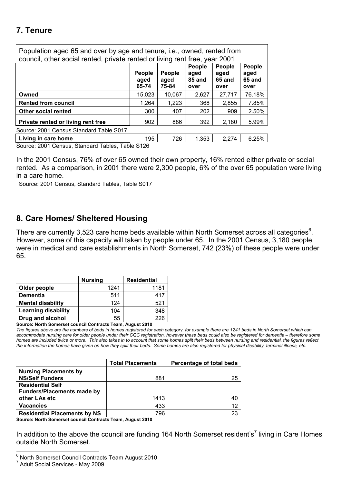# **7. Tenure**

| Population aged 65 and over by age and tenure, i.e., owned, rented from<br>council, other social rented, private rented or living rent free, year 2001 |                                                                                                                                                                                            |        |       |        |        |  |  |  |  |
|--------------------------------------------------------------------------------------------------------------------------------------------------------|--------------------------------------------------------------------------------------------------------------------------------------------------------------------------------------------|--------|-------|--------|--------|--|--|--|--|
|                                                                                                                                                        | <b>People</b><br><b>People</b><br>People<br><b>People</b><br><b>People</b><br>aged<br>aged<br>aged<br>85 and<br>65 and<br>65 and<br>aged<br>aged<br>75-84<br>65-74<br>over<br>over<br>over |        |       |        |        |  |  |  |  |
| Owned                                                                                                                                                  | 15.023                                                                                                                                                                                     | 10.067 | 2.627 | 27,717 | 76.18% |  |  |  |  |
| <b>Rented from council</b>                                                                                                                             | 1,264                                                                                                                                                                                      | 1,223  | 368   | 2.855  | 7.85%  |  |  |  |  |
| <b>Other social rented</b>                                                                                                                             | 300                                                                                                                                                                                        | 407    | 202   | 909    | 2.50%  |  |  |  |  |
| Private rented or living rent free                                                                                                                     | 902                                                                                                                                                                                        | 886    | 392   | 2,180  | 5.99%  |  |  |  |  |
| Source: 2001 Census Standard Table S017                                                                                                                |                                                                                                                                                                                            |        |       |        |        |  |  |  |  |
| Living in care home                                                                                                                                    | 195                                                                                                                                                                                        | 726    | 1.353 | 2,274  | 6.25%  |  |  |  |  |

Source: 2001 Census, Standard Tables, Table S126

In the 2001 Census, 76% of over 65 owned their own property, 16% rented either private or social rented. As a comparison, in 2001 there were 2,300 people, 6% of the over 65 population were living in a care home.

Source: 2001 Census, Standard Tables, Table S017

## **8. Care Homes/ Sheltered Housing**

There are currently 3,523 care home beds available within North Somerset across all categories $6$ . However, some of this capacity will taken by people under 65. In the 2001 Census, 3,180 people were in medical and care establishments in North Somerset, 742 (23%) of these people were under 65.

|                            | <b>Nursing</b> | <b>Residential</b> |
|----------------------------|----------------|--------------------|
| Older people               | 1241           | 1181               |
| <b>Dementia</b>            | 511            | 417                |
| <b>Mental disability</b>   | 124            | 521                |
| <b>Learning disability</b> | 104            | 348                |
| Drug and alcohol           | 55             | つつら                |

**Source: North Somerset council Contracts Team, August 2010** 

*The figures above are the numbers of beds in homes registered for each category, for example there are 1241 beds in North Somerset which can accommodate nursing care for older people under their CQC registration, however these beds could also be registered for dementia – therefore some homes are included twice or more. This also takes in to account that some homes split their beds between nursing and residential, the figures reflect the information the homes have given on how they split their beds. Some homes are also registered for physical disability, terminal illness, etc.* 

|                                     | <b>Total Placements</b> | Percentage of total beds |
|-------------------------------------|-------------------------|--------------------------|
| <b>Nursing Placements by</b>        |                         |                          |
| <b>NS/Self Funders</b>              | 881                     | 25                       |
| <b>Residential Self</b>             |                         |                          |
| <b>Funders/Placements made by</b>   |                         |                          |
| other LAs etc                       | 1413                    | 40                       |
| <b>Vacancies</b>                    | 433                     | 12                       |
| <b>Residential Placements by NS</b> | 796                     | 23                       |

**Source: North Somerset council Contracts Team, August 2010** 

In addition to the above the council are funding 164 North Somerset resident's<sup>7</sup> living in Care Homes outside North Somerset.

 6 North Somerset Council Contracts Team August 2010

<sup>&</sup>lt;sup>7</sup> Adult Social Services - May 2009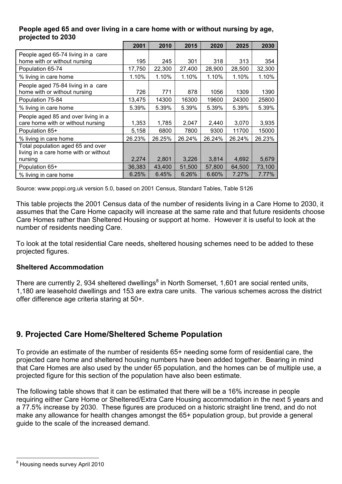#### **People aged 65 and over living in a care home with or without nursing by age, projected to 2030**

|                                                                            | 2001   | 2010   | 2015   | 2020   | 2025   | 2030   |
|----------------------------------------------------------------------------|--------|--------|--------|--------|--------|--------|
| People aged 65-74 living in a care<br>home with or without nursing         | 195    | 245    | 301    | 318    | 313    | 354    |
| Population 65-74                                                           | 17,750 | 22,300 | 27,400 | 28,900 | 28,500 | 32,300 |
| % living in care home                                                      | 1.10%  | 1.10%  | 1.10%  | 1.10%  | 1.10%  | 1.10%  |
| People aged 75-84 living in a care<br>home with or without nursing         | 726    | 771    | 878    | 1056   | 1309   | 1390   |
| Population 75-84                                                           | 13,475 | 14300  | 16300  | 19600  | 24300  | 25800  |
| % living in care home                                                      | 5.39%  | 5.39%  | 5.39%  | 5.39%  | 5.39%  | 5.39%  |
| People aged 85 and over living in a<br>care home with or without nursing   | 1,353  | 1,785  | 2,047  | 2,440  | 3,070  | 3,935  |
| Population 85+                                                             | 5,158  | 6800   | 7800   | 9300   | 11700  | 15000  |
| % living in care home                                                      | 26.23% | 26.25% | 26.24% | 26.24% | 26.24% | 26.23% |
| Total population aged 65 and over<br>living in a care home with or without | 2,274  | 2,801  | 3,226  | 3,814  | 4,692  | 5,679  |
| nursing<br>Population 65+                                                  | 36,383 | 43,400 | 51,500 | 57,800 | 64,500 | 73,100 |
| % living in care home                                                      | 6.25%  | 6.45%  | 6.26%  | 6.60%  | 7.27%  | 7.77%  |

Source: www.poppi.org.uk version 5.0, based on 2001 Census, Standard Tables, Table S126

This table projects the 2001 Census data of the number of residents living in a Care Home to 2030, it assumes that the Care Home capacity will increase at the same rate and that future residents choose Care Homes rather than Sheltered Housing or support at home. However it is useful to look at the number of residents needing Care.

To look at the total residential Care needs, sheltered housing schemes need to be added to these projected figures.

#### **Sheltered Accommodation**

There are currently 2, 934 sheltered dwellings<sup>8</sup> in North Somerset, 1,601 are social rented units, 1,180 are leasehold dwellings and 153 are extra care units. The various schemes across the district offer difference age criteria staring at 50+.

# **9. Projected Care Home/Sheltered Scheme Population**

To provide an estimate of the number of residents 65+ needing some form of residential care, the projected care home and sheltered housing numbers have been added together. Bearing in mind that Care Homes are also used by the under 65 population, and the homes can be of multiple use, a projected figure for this section of the population have also been estimate.

The following table shows that it can be estimated that there will be a 16% increase in people requiring either Care Home or Sheltered/Extra Care Housing accommodation in the next 5 years and a 77.5% increase by 2030. These figures are produced on a historic straight line trend, and do not make any allowance for health changes amongst the 65+ population group, but provide a general guide to the scale of the increased demand.

ersides<br>
<sup>8</sup> Housing needs survey April 2010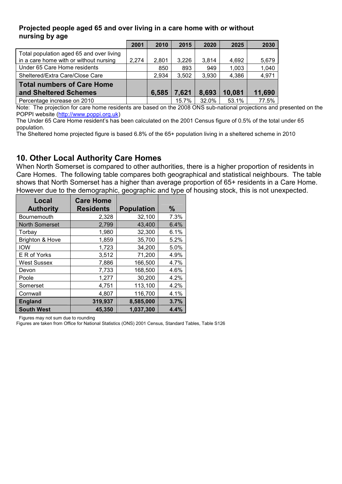#### **Projected people aged 65 and over living in a care home with or without nursing by age**

|                                                                                    | 2001  | 2010  | 2015  | 2020  | 2025   | 2030   |
|------------------------------------------------------------------------------------|-------|-------|-------|-------|--------|--------|
| Total population aged 65 and over living<br>in a care home with or without nursing | 2,274 | 2,801 | 3,226 | 3,814 | 4,692  | 5,679  |
| Under 65 Care Home residents                                                       |       | 850   | 893   | 949   | 1,003  | 1,040  |
| Sheltered/Extra Care/Close Care                                                    |       | 2,934 | 3,502 | 3,930 | 4,386  | 4,971  |
| Total numbers of Care Home<br>and Sheltered Schemes                                |       | 6,585 | 7,621 | 8,693 | 10,081 | 11,690 |
| Percentage increase on 2010                                                        |       |       | 15.7% | 32.0% | 53.1%  | 77.5%  |

Note: The projection for care home residents are based on the 2008 ONS sub-national projections and presented on the POPPI website (http://www.poppi.org.uk)

The Under 65 Care Home resident's has been calculated on the 2001 Census figure of 0.5% of the total under 65 population.

The Sheltered home projected figure is based 6.8% of the 65+ population living in a sheltered scheme in 2010

## **10. Other Local Authority Care Homes**

When North Somerset is compared to other authorities, there is a higher proportion of residents in Care Homes. The following table compares both geographical and statistical neighbours. The table shows that North Somerset has a higher than average proportion of 65+ residents in a Care Home. However due to the demographic, geographic and type of housing stock, this is not unexpected.

| Local<br><b>Authority</b>  | <b>Care Home</b><br><b>Residents</b> | <b>Population</b> | $\%$ |
|----------------------------|--------------------------------------|-------------------|------|
| Bournemouth                | 2,328                                | 32,100            | 7.3% |
| <b>North Somerset</b>      | 2,799                                | 43,400            | 6.4% |
| Torbay                     | 1,980                                | 32,300            | 6.1% |
| <b>Brighton &amp; Hove</b> | 1,859                                | 35,700            | 5.2% |
| <b>IOW</b>                 | 1,723                                | 34,200            | 5.0% |
| E R of Yorks               | 3,512                                | 71,200            | 4.9% |
| <b>West Sussex</b>         | 7,886                                | 166,500           | 4.7% |
| Devon                      | 7,733                                | 168,500           | 4.6% |
| Poole                      | 1,277                                | 30,200            | 4.2% |
| Somerset                   | 4,751                                | 113,100           | 4.2% |
| Cornwall                   | 4,807                                | 116,700           | 4.1% |
| <b>England</b>             | 319,937                              | 8,585,000         | 3.7% |
| <b>South West</b>          | 45,350                               | 1,037,300         | 4.4% |

Figures may not sum due to rounding

Figures are taken from Office for National Statistics (ONS) 2001 Census, Standard Tables, Table S126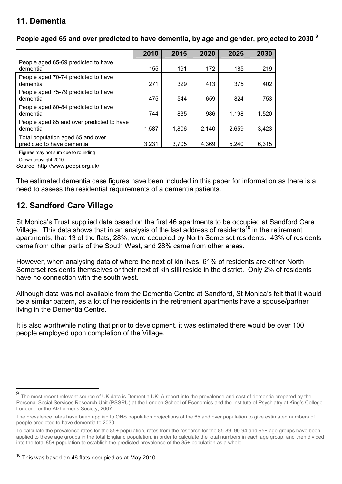# **11. Dementia**

|                                                                 | 2010  | 2015  | 2020  | 2025  | 2030  |
|-----------------------------------------------------------------|-------|-------|-------|-------|-------|
| People aged 65-69 predicted to have<br>dementia                 | 155   | 191   | 172   | 185   | 219   |
| People aged 70-74 predicted to have<br>dementia                 | 271   | 329   | 413   | 375   | 402   |
| People aged 75-79 predicted to have<br>dementia                 | 475   | 544   | 659   | 824   | 753   |
| People aged 80-84 predicted to have<br>dementia                 | 744   | 835   | 986   | 1,198 | 1,520 |
| People aged 85 and over predicted to have<br>dementia           | 1,587 | 1,806 | 2,140 | 2,659 | 3.423 |
| Total population aged 65 and over<br>predicted to have dementia | 3,231 | 3.705 | 4.369 | 5.240 | 6.315 |

**People aged 65 and over predicted to have dementia, by age and gender, projected to 2030 <sup>9</sup>**

Figures may not sum due to rounding

Crown copyright 2010

Source: http://www.poppi.org.uk/

The estimated dementia case figures have been included in this paper for information as there is a need to assess the residential requirements of a dementia patients.

# **12. Sandford Care Village**

St Monica's Trust supplied data based on the first 46 apartments to be occupied at Sandford Care Village. This data shows that in an analysis of the last address of residents<sup>10</sup> in the retirement apartments, that 13 of the flats, 28%, were occupied by North Somerset residents. 43% of residents came from other parts of the South West, and 28% came from other areas.

However, when analysing data of where the next of kin lives, 61% of residents are either North Somerset residents themselves or their next of kin still reside in the district. Only 2% of residents have no connection with the south west.

Although data was not available from the Dementia Centre at Sandford, St Monica's felt that it would be a similar pattern, as a lot of the residents in the retirement apartments have a spouse/partner living in the Dementia Centre.

It is also worthwhile noting that prior to development, it was estimated there would be over 100 people employed upon completion of the Village.

<sup>10</sup> This was based on 46 flats occupied as at May 2010.

 9 The most recent relevant source of UK data is Dementia UK: A report into the prevalence and cost of dementia prepared by the Personal Social Services Research Unit (PSSRU) at the London School of Economics and the Institute of Psychiatry at King's College London, for the Alzheimer's Society, 2007.

The prevalence rates have been applied to ONS population projections of the 65 and over population to give estimated numbers of people predicted to have dementia to 2030.

To calculate the prevalence rates for the 85+ population, rates from the research for the 85-89, 90-94 and 95+ age groups have been applied to these age groups in the total England population, in order to calculate the total numbers in each age group, and then divided into the total 85+ population to establish the predicted prevalence of the 85+ population as a whole.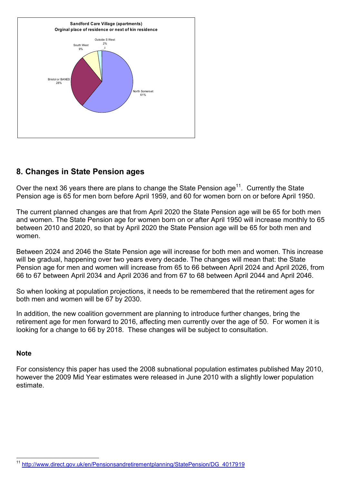

## **8. Changes in State Pension ages**

Over the next 36 years there are plans to change the State Pension age<sup>11</sup>. Currently the State Pension age is 65 for men born before April 1959, and 60 for women born on or before April 1950.

The current planned changes are that from April 2020 the State Pension age will be 65 for both men and women. The State Pension age for women born on or after April 1950 will increase monthly to 65 between 2010 and 2020, so that by April 2020 the State Pension age will be 65 for both men and women.

Between 2024 and 2046 the State Pension age will increase for both men and women. This increase will be gradual, happening over two years every decade. The changes will mean that: the State Pension age for men and women will increase from 65 to 66 between April 2024 and April 2026, from 66 to 67 between April 2034 and April 2036 and from 67 to 68 between April 2044 and April 2046.

So when looking at population projections, it needs to be remembered that the retirement ages for both men and women will be 67 by 2030.

In addition, the new coalition government are planning to introduce further changes, bring the retirement age for men forward to 2016, affecting men currently over the age of 50. For women it is looking for a change to 66 by 2018. These changes will be subject to consultation.

#### **Note**

For consistency this paper has used the 2008 subnational population estimates published May 2010, however the 2009 Mid Year estimates were released in June 2010 with a slightly lower population estimate.

 $\overline{a}$ http://www.direct.gov.uk/en/Pensionsandretirementplanning/StatePension/DG\_4017919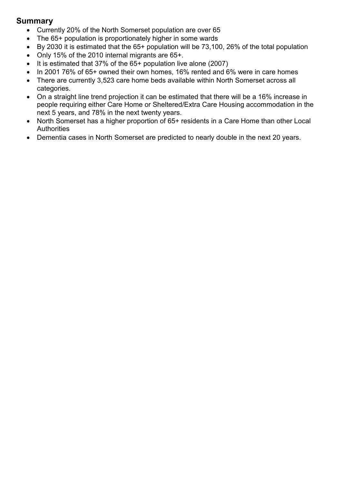### **Summary**

- Currently 20% of the North Somerset population are over 65
- The 65+ population is proportionately higher in some wards
- By 2030 it is estimated that the 65+ population will be 73,100, 26% of the total population
- Only 15% of the 2010 internal migrants are 65+.
- It is estimated that 37% of the 65+ population live alone (2007)
- In 2001 76% of 65+ owned their own homes, 16% rented and 6% were in care homes
- There are currently 3,523 care home beds available within North Somerset across all categories.
- On a straight line trend projection it can be estimated that there will be a 16% increase in people requiring either Care Home or Sheltered/Extra Care Housing accommodation in the next 5 years, and 78% in the next twenty years.
- North Somerset has a higher proportion of 65+ residents in a Care Home than other Local **Authorities**
- Dementia cases in North Somerset are predicted to nearly double in the next 20 years.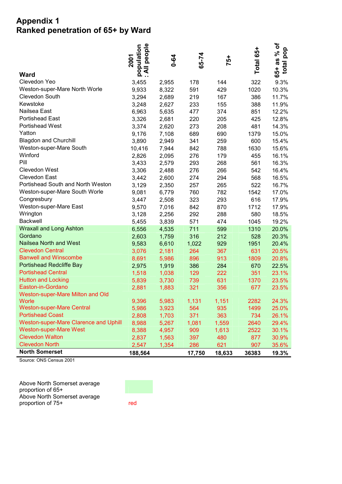## **Appendix 1 Ranked penetration of 65+ by Ward**

| <b>Ward</b>                                  | : All people<br>population<br>2001 | $0 - 64$ | 65-74  | 75+    | Total 65+ | $65+as~%$ of<br>total pop |
|----------------------------------------------|------------------------------------|----------|--------|--------|-----------|---------------------------|
| Clevedon Yeo                                 | 3,455                              | 2,955    | 178    | 144    | 322       | 9.3%                      |
| Weston-super-Mare North Worle                | 9,933                              | 8,322    | 591    | 429    | 1020      | 10.3%                     |
| Clevedon South                               | 3,294                              | 2,689    | 219    | 167    | 386       | 11.7%                     |
| Kewstoke                                     | 3,248                              | 2,627    | 233    | 155    | 388       | 11.9%                     |
| Nailsea East                                 | 6,963                              | 5,635    | 477    | 374    | 851       | 12.2%                     |
| <b>Portishead East</b>                       | 3,326                              | 2,681    | 220    | 205    | 425       | 12.8%                     |
| <b>Portishead West</b>                       | 3,374                              | 2,620    | 273    | 208    | 481       | 14.3%                     |
| Yatton                                       | 9,176                              | 7,108    | 689    | 690    | 1379      | 15.0%                     |
| <b>Blagdon and Churchill</b>                 | 3,890                              | 2,949    | 341    | 259    | 600       | 15.4%                     |
| Weston-super-Mare South                      | 10,416                             | 7,944    | 842    | 788    | 1630      | 15.6%                     |
| Winford                                      | 2,826                              | 2,095    | 276    | 179    | 455       | 16.1%                     |
| Pill                                         | 3,433                              | 2,579    | 293    | 268    | 561       | 16.3%                     |
| <b>Clevedon West</b>                         | 3,306                              | 2,488    | 276    | 266    | 542       | 16.4%                     |
| Clevedon East                                | 3,442                              | 2,600    | 274    | 294    | 568       | 16.5%                     |
| Portishead South and North Weston            | 3,129                              | 2,350    | 257    | 265    | 522       | 16.7%                     |
| Weston-super-Mare South Worle                | 9,081                              | 6,779    | 760    | 782    | 1542      | 17.0%                     |
| Congresbury                                  | 3,447                              | 2,508    | 323    | 293    | 616       | 17.9%                     |
| Weston-super-Mare East                       | 9,570                              | 7,016    | 842    | 870    | 1712      | 17.9%                     |
| Wrington                                     | 3,128                              | 2,256    | 292    | 288    | 580       | 18.5%                     |
| <b>Backwell</b>                              | 5,455                              | 3,839    | 571    | 474    | 1045      | 19.2%                     |
| <b>Wraxall and Long Ashton</b>               | 6,556                              | 4,535    | 711    | 599    | 1310      | 20.0%                     |
| Gordano                                      | 2,603                              | 1,759    | 316    | 212    | 528       | 20.3%                     |
| <b>Nailsea North and West</b>                | 9,583                              | 6,610    | 1,022  | 929    | 1951      | 20.4%                     |
| <b>Clevedon Central</b>                      | 3,076                              | 2,181    | 264    | 367    | 631       | 20.5%                     |
| <b>Banwell and Winscombe</b>                 | 8,691                              | 5,986    | 896    | 913    | 1809      | 20.8%                     |
| Portishead Redcliffe Bay                     | 2,975                              | 1,919    | 386    | 284    | 670       | 22.5%                     |
| <b>Portishead Central</b>                    | 1,518                              | 1,038    | 129    | 222    | 351       | 23.1%                     |
| <b>Hutton and Locking</b>                    | 5,839                              | 3,730    | 739    | 631    | 1370      | 23.5%                     |
| Easton-in-Gordano                            | 2,881                              | 1,883    | 321    | 356    | 677       | 23.5%                     |
| Weston-super-Mare Milton and Old<br>Worle    | 9,396                              | 5,983    | 1,131  | 1,151  | 2282      | 24.3%                     |
| <b>Weston-super-Mare Central</b>             | 5,986                              | 3,923    | 564    | 935    | 1499      | 25.0%                     |
| <b>Portishead Coast</b>                      | 2,808                              | 1,703    | 371    | 363    | 734       | 26.1%                     |
| <b>Weston-super-Mare Clarence and Uphill</b> | 8,988                              | 5,267    | 1,081  | 1,559  | 2640      | 29.4%                     |
| <b>Weston-super-Mare West</b>                | 8,388                              | 4,957    | 909    | 1,613  | 2522      | 30.1%                     |
| <b>Clevedon Walton</b>                       | 2,837                              | 1,563    | 397    | 480    | 877       | 30.9%                     |
| <b>Clevedon North</b>                        | 2,547                              | 1,354    | 286    | 621    | 907       | 35.6%                     |
| <b>North Somerset</b>                        | 188,564                            |          | 17,750 | 18,633 | 36383     | 19.3%                     |

Source: ONS Census 2001

Above North Somerset average proportion of 65+ Above North Somerset average proportion of 75+ red

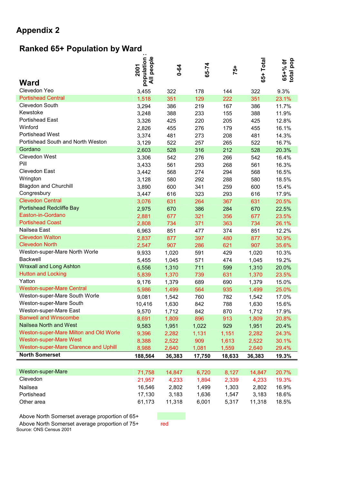# **Appendix 2**

# **Ranked 65+ Population by Ward**

| Ward                                   | people<br>population<br>2001<br>$\bar{a}$ | $0 - 64$ | 65-74  | 75+    | 65+ Total | total pop<br>65+% Of |
|----------------------------------------|-------------------------------------------|----------|--------|--------|-----------|----------------------|
| Clevedon Yeo                           | 3,455                                     | 322      | 178    | 144    | 322       | 9.3%                 |
| <b>Portishead Central</b>              | 1,518                                     | 351      | 129    | 222    | 351       | 23.1%                |
| Clevedon South                         | 3,294                                     | 386      | 219    | 167    | 386       | 11.7%                |
| Kewstoke                               | 3,248                                     | 388      | 233    | 155    | 388       | 11.9%                |
| <b>Portishead East</b>                 | 3,326                                     | 425      | 220    | 205    | 425       | 12.8%                |
| Winford                                | 2,826                                     | 455      | 276    | 179    | 455       | 16.1%                |
| <b>Portishead West</b>                 | 3,374                                     | 481      | 273    | 208    | 481       | 14.3%                |
| Portishead South and North Weston      | 3,129                                     | 522      | 257    | 265    | 522       | 16.7%                |
| Gordano                                | 2,603                                     | 528      | 316    | 212    | 528       | 20.3%                |
| Clevedon West                          | 3,306                                     | 542      | 276    | 266    | 542       | 16.4%                |
| Pill                                   | 3,433                                     | 561      | 293    | 268    | 561       | 16.3%                |
| Clevedon East                          | 3,442                                     | 568      | 274    | 294    | 568       | 16.5%                |
| Wrington                               | 3,128                                     | 580      | 292    | 288    | 580       | 18.5%                |
| <b>Blagdon and Churchill</b>           | 3,890                                     | 600      | 341    | 259    | 600       | 15.4%                |
| Congresbury                            | 3,447                                     | 616      | 323    | 293    | 616       | 17.9%                |
| <b>Clevedon Central</b>                | 3,076                                     | 631      | 264    | 367    | 631       | 20.5%                |
| Portishead Redcliffe Bay               | 2,975                                     | 670      | 386    | 284    | 670       | 22.5%                |
| Easton-in-Gordano                      | 2,881                                     | 677      | 321    | 356    | 677       | 23.5%                |
| <b>Portishead Coast</b>                | 2,808                                     | 734      | 371    | 363    | 734       | 26.1%                |
| Nailsea East                           | 6,963                                     | 851      | 477    | 374    | 851       | 12.2%                |
| <b>Clevedon Walton</b>                 | 2,837                                     | 877      | 397    | 480    | 877       | 30.9%                |
| <b>Clevedon North</b>                  | 2,547                                     | 907      | 286    | 621    | 907       | 35.6%                |
| Weston-super-Mare North Worle          | 9,933                                     | 1,020    | 591    | 429    | 1,020     | 10.3%                |
| <b>Backwell</b>                        | 5,455                                     | 1,045    | 571    | 474    | 1,045     | 19.2%                |
| <b>Wraxall and Long Ashton</b>         | 6,556                                     | 1,310    | 711    | 599    | 1,310     | 20.0%                |
| <b>Hutton and Locking</b>              | 5,839                                     | 1,370    | 739    | 631    | 1,370     | 23.5%                |
| Yatton                                 | 9,176                                     | 1,379    | 689    | 690    | 1,379     | 15.0%                |
| <b>Weston-super-Mare Central</b>       | 5,986                                     | 1,499    | 564    | 935    | 1,499     | 25.0%                |
| Weston-super-Mare South Worle          | 9,081                                     | 1,542    | 760    | 782    | 1,542     | 17.0%                |
| Weston-super-Mare South                | 10,416                                    | 1,630    | 842    | 788    | 1,630     | 15.6%                |
| Weston-super-Mare East                 | 9,570                                     | 1,712    | 842    | 870    | 1,712     | 17.9%                |
| <b>Banwell and Winscombe</b>           | 8,691                                     | 1,809    | 896    | 913    | 1,809     | 20.8%                |
| Nailsea North and West                 | 9,583                                     | 1,951    | 1,022  | 929    | 1,951     | 20.4%                |
| Weston-super-Mare Milton and Old Worle | 9,396                                     | 2,282    | 1,131  | 1,151  | 2,282     | 24.3%                |
| <b>Weston-super-Mare West</b>          | 8,388                                     | 2,522    | 909    | 1,613  | 2,522     | 30.1%                |
| Weston-super-Mare Clarence and Uphill  | 8,988                                     | 2,640    | 1,081  | 1,559  | 2,640     | 29.4%                |
| <b>North Somerset</b>                  | 188,564                                   | 36,383   | 17,750 | 18,633 | 36,383    | 19.3%                |
|                                        |                                           |          |        |        |           |                      |
| Weston-super-Mare                      | 71,758                                    | 14,847   | 6,720  | 8,127  | 14,847    | 20.7%                |
| Clevedon                               | 21,957                                    | 4,233    | 1,894  | 2,339  | 4,233     | 19.3%                |
| Nailsea                                | 16,546                                    | 2,802    | 1,499  | 1,303  | 2,802     | 16.9%                |

| Above North Somerset average proportion of 65+                            |     |
|---------------------------------------------------------------------------|-----|
| Above North Somerset average proportion of 75+<br>Source: ONS Census 2001 | red |

Portishead 17,130 3,183 1,636 1,547 3,183 18.6% Other area 61,173 11,318 6,001 5,317 11,318 18.5%